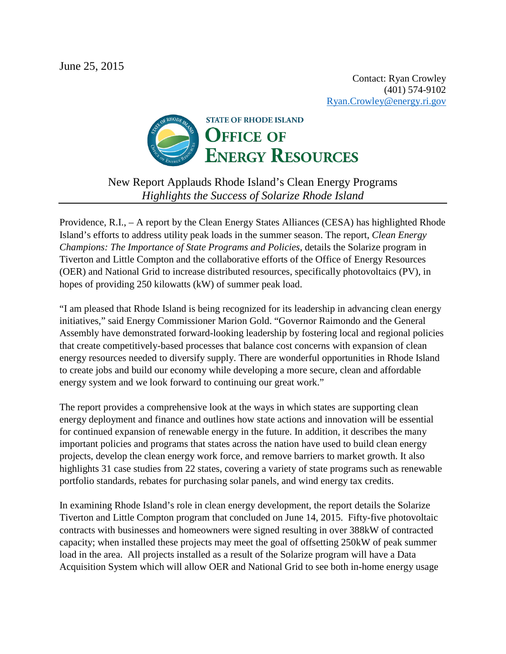

New Report Applauds Rhode Island's Clean Energy Programs *Highlights the Success of Solarize Rhode Island*

Providence, R.I., – A report by the Clean Energy States Alliances (CESA) has highlighted Rhode Island's efforts to address utility peak loads in the summer season. The report, *Clean Energy Champions: The Importance of State Programs and Policies*, details the Solarize program in Tiverton and Little Compton and the collaborative efforts of the Office of Energy Resources (OER) and National Grid to increase distributed resources, specifically photovoltaics (PV), in hopes of providing 250 kilowatts (kW) of summer peak load.

"I am pleased that Rhode Island is being recognized for its leadership in advancing clean energy initiatives," said Energy Commissioner Marion Gold. "Governor Raimondo and the General Assembly have demonstrated forward-looking leadership by fostering local and regional policies that create competitively-based processes that balance cost concerns with expansion of clean energy resources needed to diversify supply. There are wonderful opportunities in Rhode Island to create jobs and build our economy while developing a more secure, clean and affordable energy system and we look forward to continuing our great work."

The report provides a comprehensive look at the ways in which states are supporting clean energy deployment and finance and outlines how state actions and innovation will be essential for continued expansion of renewable energy in the future. In addition, it describes the many important policies and programs that states across the nation have used to build clean energy projects, develop the clean energy work force, and remove barriers to market growth. It also highlights 31 case studies from 22 states, covering a variety of state programs such as renewable portfolio standards, rebates for purchasing solar panels, and wind energy tax credits.

In examining Rhode Island's role in clean energy development, the report details the Solarize Tiverton and Little Compton program that concluded on June 14, 2015. Fifty-five photovoltaic contracts with businesses and homeowners were signed resulting in over 388kW of contracted capacity; when installed these projects may meet the goal of offsetting 250kW of peak summer load in the area. All projects installed as a result of the Solarize program will have a Data Acquisition System which will allow OER and National Grid to see both in-home energy usage